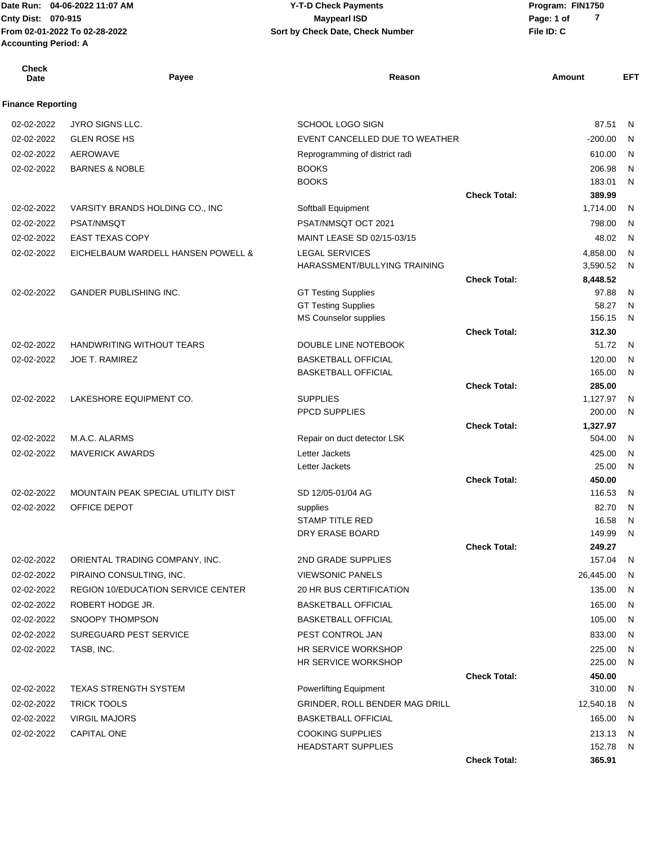Date Run: 04-06-2022 11:07 AM **CONTACT CONSTREY THE STATE OF PROGRAM** Y-T-D Check Payments **CONTACT PROGRAM: FIN1750 From 02-01-2022 To 02-28-2022 File ID: C Sort by Check Date, Check Number Accounting Period: A**

## **Cnty Dist:** 070-915 **Page:** 1 of **04-06-2022 11:07 AM Y-T-D Check Payments 070-915 Maypearl ISD**

| <b>Check</b><br>Date     | Payee                                     | Reason                         |                     | Amount             | EFT |
|--------------------------|-------------------------------------------|--------------------------------|---------------------|--------------------|-----|
| <b>Finance Reporting</b> |                                           |                                |                     |                    |     |
| 02-02-2022               | <b>JYRO SIGNS LLC.</b>                    | SCHOOL LOGO SIGN               |                     | 87.51              | - N |
| 02-02-2022               | <b>GLEN ROSE HS</b>                       | EVENT CANCELLED DUE TO WEATHER |                     | $-200.00$          | N   |
| 02-02-2022               | AEROWAVE                                  | Reprogramming of district radi |                     | 610.00             | N.  |
| 02-02-2022               | <b>BARNES &amp; NOBLE</b>                 | <b>BOOKS</b>                   |                     | 206.98             | N   |
|                          |                                           | <b>BOOKS</b>                   |                     | 183.01             | N   |
|                          |                                           |                                | <b>Check Total:</b> | 389.99             |     |
| 02-02-2022               | VARSITY BRANDS HOLDING CO., INC           | Softball Equipment             |                     | 1,714.00           | N   |
| 02-02-2022               | <b>PSAT/NMSQT</b>                         | PSAT/NMSQT OCT 2021            |                     | 798.00             | - N |
| 02-02-2022               | <b>EAST TEXAS COPY</b>                    | MAINT LEASE SD 02/15-03/15     |                     | 48.02              | - N |
| 02-02-2022               | EICHELBAUM WARDELL HANSEN POWELL &        | <b>LEGAL SERVICES</b>          |                     | 4,858.00           | N   |
|                          |                                           | HARASSMENT/BULLYING TRAINING   |                     | 3,590.52           | - N |
|                          |                                           |                                | <b>Check Total:</b> | 8,448.52           |     |
| 02-02-2022               | <b>GANDER PUBLISHING INC.</b>             | <b>GT Testing Supplies</b>     |                     | 97.88              | N.  |
|                          |                                           | <b>GT Testing Supplies</b>     |                     | 58.27              | N   |
|                          |                                           | MS Counselor supplies          |                     | 156.15             | - N |
|                          |                                           |                                | <b>Check Total:</b> | 312.30             |     |
| 02-02-2022               | <b>HANDWRITING WITHOUT TEARS</b>          | DOUBLE LINE NOTEBOOK           |                     | 51.72              | N   |
| 02-02-2022               | <b>JOE T. RAMIREZ</b>                     | <b>BASKETBALL OFFICIAL</b>     |                     | 120.00             | N   |
|                          |                                           | <b>BASKETBALL OFFICIAL</b>     |                     | 165.00             | N   |
|                          |                                           |                                | <b>Check Total:</b> | 285.00             |     |
| 02-02-2022               | LAKESHORE EQUIPMENT CO.                   | <b>SUPPLIES</b>                |                     | 1,127.97           | N   |
|                          |                                           | <b>PPCD SUPPLIES</b>           | <b>Check Total:</b> | 200.00             | N   |
| 02-02-2022               | M.A.C. ALARMS                             | Repair on duct detector LSK    |                     | 1,327.97<br>504.00 | N   |
| 02-02-2022               | <b>MAVERICK AWARDS</b>                    | Letter Jackets                 |                     | 425.00             | N   |
|                          |                                           | Letter Jackets                 |                     | 25.00              | - N |
|                          |                                           |                                | <b>Check Total:</b> | 450.00             |     |
| 02-02-2022               | MOUNTAIN PEAK SPECIAL UTILITY DIST        | SD 12/05-01/04 AG              |                     | 116.53             | -N  |
| 02-02-2022               | OFFICE DEPOT                              | supplies                       |                     | 82.70              | N.  |
|                          |                                           | STAMP TITLE RED                |                     | 16.58              | N   |
|                          |                                           | DRY ERASE BOARD                |                     | 149.99             | N   |
|                          |                                           |                                | <b>Check Total:</b> | 249.27             |     |
| 02-02-2022               | ORIENTAL TRADING COMPANY, INC.            | 2ND GRADE SUPPLIES             |                     | 157.04 N           |     |
| 02-02-2022               | PIRAINO CONSULTING, INC.                  | <b>VIEWSONIC PANELS</b>        |                     | 26,445.00          | N   |
| 02-02-2022               | <b>REGION 10/EDUCATION SERVICE CENTER</b> | 20 HR BUS CERTIFICATION        |                     | 135.00             | N,  |
| 02-02-2022               | ROBERT HODGE JR.                          | <b>BASKETBALL OFFICIAL</b>     |                     | 165.00             | N,  |
| 02-02-2022               | SNOOPY THOMPSON                           | <b>BASKETBALL OFFICIAL</b>     |                     | 105.00             | - N |
| 02-02-2022               | SUREGUARD PEST SERVICE                    | PEST CONTROL JAN               |                     | 833.00             | N,  |
| 02-02-2022               | TASB, INC.                                | <b>HR SERVICE WORKSHOP</b>     |                     | 225.00             | N,  |
|                          |                                           | HR SERVICE WORKSHOP            |                     | 225.00             | - N |
|                          |                                           |                                | <b>Check Total:</b> | 450.00             |     |
| 02-02-2022               | <b>TEXAS STRENGTH SYSTEM</b>              | Powerlifting Equipment         |                     | 310.00             | - N |
| 02-02-2022               | <b>TRICK TOOLS</b>                        | GRINDER, ROLL BENDER MAG DRILL |                     | 12,540.18          | N   |
| 02-02-2022               | <b>VIRGIL MAJORS</b>                      | <b>BASKETBALL OFFICIAL</b>     |                     | 165.00             | N,  |
| 02-02-2022               | <b>CAPITAL ONE</b>                        | <b>COOKING SUPPLIES</b>        |                     | 213.13 N           |     |
|                          |                                           | <b>HEADSTART SUPPLIES</b>      |                     | 152.78 N           |     |
|                          |                                           |                                | <b>Check Total:</b> | 365.91             |     |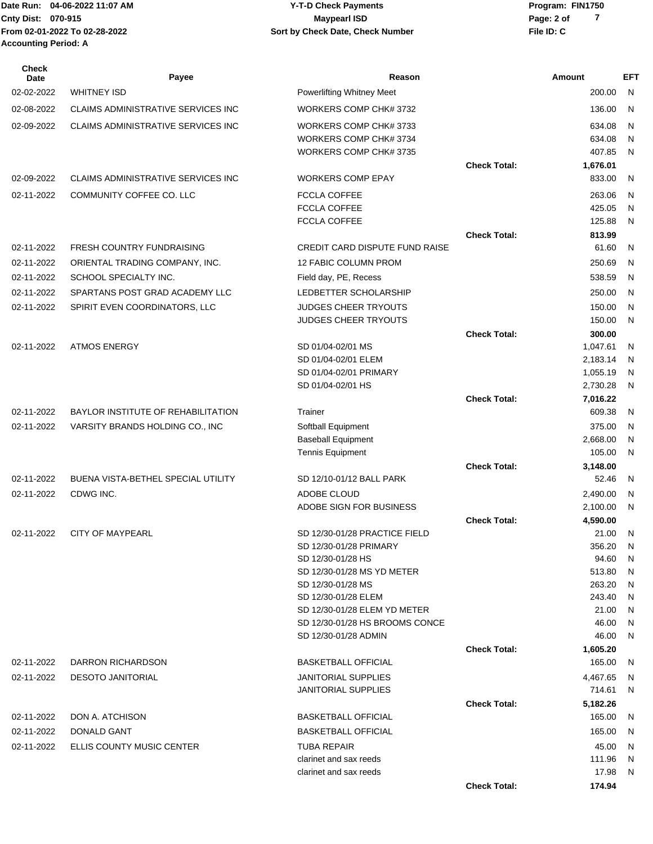Date Run: 04-06-2022 11:07 AM **CONTACT CONSTREY THE STATE OF PROGRAM** Y-T-D Check Payments **CONTACT PROGRAM: FIN1750 Cnty Dist:** 070-915 **Page: 2 of MaypearI ISD MaypearI ISD From 02-01-2022 To 02-28-2022 File ID: C Sort by Check Date, Check Number 04-06-2022 11:07 AM Y-T-D Check Payments 070-915 Maypearl ISD 7 Accounting Period: A**

| Check<br>Date | Payee                                      | Reason                                                 |                     | <b>Amount</b>      | EFT            |
|---------------|--------------------------------------------|--------------------------------------------------------|---------------------|--------------------|----------------|
| 02-02-2022    | <b>WHITNEY ISD</b>                         | Powerlifting Whitney Meet                              |                     | 200.00             | N              |
| 02-08-2022    | <b>CLAIMS ADMINISTRATIVE SERVICES INC</b>  | WORKERS COMP CHK# 3732                                 |                     | 136.00             | N.             |
| 02-09-2022    | <b>CLAIMS ADMINISTRATIVE SERVICES INC.</b> | WORKERS COMP CHK# 3733                                 |                     | 634.08             | N.             |
|               |                                            | WORKERS COMP CHK# 3734                                 |                     | 634.08             | N.             |
|               |                                            | WORKERS COMP CHK# 3735                                 |                     | 407.85             | N              |
|               |                                            |                                                        | <b>Check Total:</b> | 1,676.01           |                |
| 02-09-2022    | CLAIMS ADMINISTRATIVE SERVICES INC         | <b>WORKERS COMP EPAY</b>                               |                     | 833.00             | N.             |
| 02-11-2022    | COMMUNITY COFFEE CO. LLC                   | <b>FCCLA COFFEE</b>                                    |                     | 263.06             | -N             |
|               |                                            | <b>FCCLA COFFEE</b>                                    |                     | 425.05             | N.             |
|               |                                            | <b>FCCLA COFFEE</b>                                    |                     | 125.88             | N              |
|               |                                            |                                                        | <b>Check Total:</b> | 813.99             |                |
| 02-11-2022    | FRESH COUNTRY FUNDRAISING                  | <b>CREDIT CARD DISPUTE FUND RAISE</b>                  |                     | 61.60              | - N            |
| 02-11-2022    | ORIENTAL TRADING COMPANY, INC.             | 12 FABIC COLUMN PROM                                   |                     | 250.69             | N.             |
| 02-11-2022    | SCHOOL SPECIALTY INC.                      | Field day, PE, Recess                                  |                     | 538.59             | $\mathsf{N}$   |
| 02-11-2022    | SPARTANS POST GRAD ACADEMY LLC             | LEDBETTER SCHOLARSHIP                                  |                     | 250.00             | - N            |
| 02-11-2022    | SPIRIT EVEN COORDINATORS, LLC              | <b>JUDGES CHEER TRYOUTS</b>                            |                     | 150.00             | N              |
|               |                                            | <b>JUDGES CHEER TRYOUTS</b>                            |                     | 150.00             | N              |
|               |                                            |                                                        | <b>Check Total:</b> | 300.00             |                |
| 02-11-2022    | <b>ATMOS ENERGY</b>                        | SD 01/04-02/01 MS                                      |                     | 1,047.61           | N              |
|               |                                            | SD 01/04-02/01 ELEM                                    |                     | 2,183.14           | $\overline{N}$ |
|               |                                            | SD 01/04-02/01 PRIMARY                                 |                     | 1,055.19           | N              |
|               |                                            | SD 01/04-02/01 HS                                      |                     | 2,730.28           | N              |
|               |                                            |                                                        | <b>Check Total:</b> | 7,016.22           |                |
| 02-11-2022    | BAYLOR INSTITUTE OF REHABILITATION         | Trainer                                                |                     | 609.38             | - N            |
| 02-11-2022    | VARSITY BRANDS HOLDING CO., INC            | Softball Equipment                                     |                     | 375.00             | N              |
|               |                                            | <b>Baseball Equipment</b>                              |                     | 2,668.00<br>105.00 | N,             |
|               |                                            | <b>Tennis Equipment</b>                                | <b>Check Total:</b> | 3,148.00           | N.             |
| 02-11-2022    | BUENA VISTA-BETHEL SPECIAL UTILITY         | SD 12/10-01/12 BALL PARK                               |                     | 52.46              | - N            |
| 02-11-2022    | CDWG INC.                                  | ADOBE CLOUD                                            |                     | 2,490.00           | N,             |
|               |                                            | ADOBE SIGN FOR BUSINESS                                |                     | 2,100.00           | N.             |
|               |                                            |                                                        | <b>Check Total:</b> | 4,590.00           |                |
| 02-11-2022    | <b>CITY OF MAYPEARL</b>                    | SD 12/30-01/28 PRACTICE FIELD                          |                     | 21.00              | - N            |
|               |                                            | SD 12/30-01/28 PRIMARY                                 |                     | 356.20             | N,             |
|               |                                            | SD 12/30-01/28 HS                                      |                     | 94.60              | N,             |
|               |                                            | SD 12/30-01/28 MS YD METER                             |                     | 513.80             | N,             |
|               |                                            | SD 12/30-01/28 MS                                      |                     | 263.20             | N              |
|               |                                            | SD 12/30-01/28 ELEM                                    |                     | 243.40             | - N            |
|               |                                            | SD 12/30-01/28 ELEM YD METER                           |                     | 21.00              | N,             |
|               |                                            | SD 12/30-01/28 HS BROOMS CONCE<br>SD 12/30-01/28 ADMIN |                     | 46.00<br>46.00     | N,<br>- N      |
|               |                                            |                                                        | <b>Check Total:</b> | 1,605.20           |                |
| 02-11-2022    | DARRON RICHARDSON                          | <b>BASKETBALL OFFICIAL</b>                             |                     | 165.00             | - N            |
| 02-11-2022    | <b>DESOTO JANITORIAL</b>                   | <b>JANITORIAL SUPPLIES</b>                             |                     | 4,467.65           | - N            |
|               |                                            | <b>JANITORIAL SUPPLIES</b>                             |                     | 714.61             | - N            |
|               |                                            |                                                        | <b>Check Total:</b> | 5,182.26           |                |
| 02-11-2022    | DON A. ATCHISON                            | <b>BASKETBALL OFFICIAL</b>                             |                     | 165.00             | - N            |
| 02-11-2022    | DONALD GANT                                | <b>BASKETBALL OFFICIAL</b>                             |                     | 165.00             | -N             |
| 02-11-2022    | ELLIS COUNTY MUSIC CENTER                  | <b>TUBA REPAIR</b>                                     |                     | 45.00              | - N            |
|               |                                            | clarinet and sax reeds                                 |                     | 111.96             | - N            |
|               |                                            | clarinet and sax reeds                                 |                     | 17.98              | - N            |
|               |                                            |                                                        | <b>Check Total:</b> | 174.94             |                |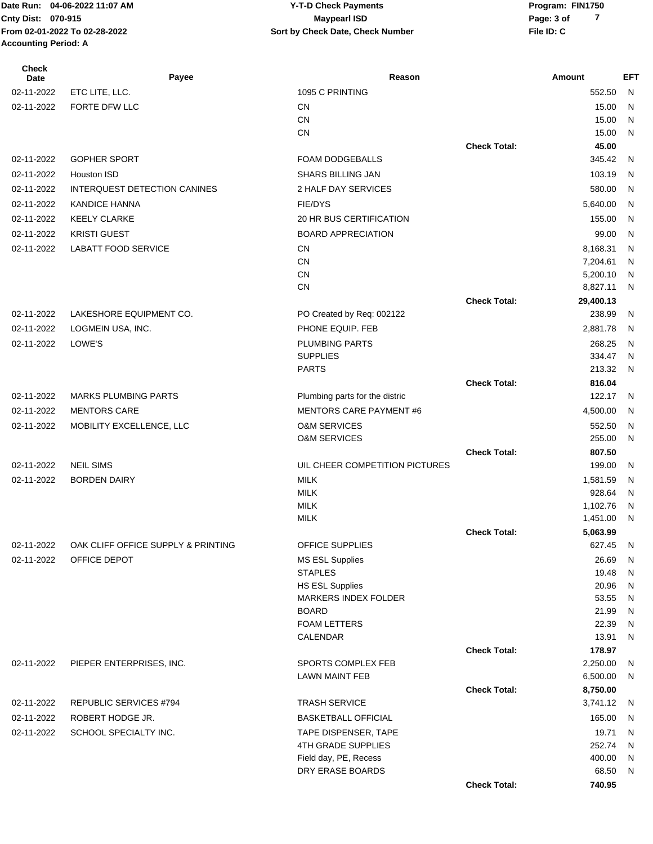Date Run: 04-06-2022 11:07 AM **CONTACT CONSTREY THE STATE OF PROGRAM** Y-T-D Check Payments **CONTACT PROGRAM: FIN1750 Accounting Period: A**

| <b>Check</b><br>Date | Payee                              | Reason                          |                     | Amount               | EFT        |
|----------------------|------------------------------------|---------------------------------|---------------------|----------------------|------------|
| 02-11-2022           | ETC LITE, LLC.                     | 1095 C PRINTING                 |                     | 552.50               | N          |
| 02-11-2022           | FORTE DFW LLC                      | CN                              |                     | 15.00                | N          |
|                      |                                    | <b>CN</b>                       |                     | 15.00                | N          |
|                      |                                    | <b>CN</b>                       |                     | 15.00                | N          |
|                      |                                    |                                 | <b>Check Total:</b> | 45.00                |            |
| 02-11-2022           | <b>GOPHER SPORT</b>                | FOAM DODGEBALLS                 |                     | 345.42               | N          |
| 02-11-2022           | Houston ISD                        | <b>SHARS BILLING JAN</b>        |                     | 103.19               | N          |
| 02-11-2022           | INTERQUEST DETECTION CANINES       | 2 HALF DAY SERVICES             |                     | 580.00               | N          |
| 02-11-2022           | <b>KANDICE HANNA</b>               | FIE/DYS                         |                     | 5,640.00             | N          |
| 02-11-2022           | <b>KEELY CLARKE</b>                | <b>20 HR BUS CERTIFICATION</b>  |                     | 155.00               | N          |
| 02-11-2022           | <b>KRISTI GUEST</b>                | <b>BOARD APPRECIATION</b>       |                     | 99.00                | N          |
| 02-11-2022           | LABATT FOOD SERVICE                | <b>CN</b>                       |                     | 8,168.31             | N          |
|                      |                                    | <b>CN</b>                       |                     | 7,204.61             | N          |
|                      |                                    | <b>CN</b><br><b>CN</b>          |                     | 5,200.10<br>8,827.11 | N<br>N     |
|                      |                                    |                                 | <b>Check Total:</b> | 29,400.13            |            |
| 02-11-2022           | LAKESHORE EQUIPMENT CO.            | PO Created by Req: 002122       |                     | 238.99               | N          |
| 02-11-2022           | LOGMEIN USA, INC.                  | PHONE EQUIP. FEB                |                     | 2,881.78             | N          |
| 02-11-2022           | LOWE'S                             | <b>PLUMBING PARTS</b>           |                     | 268.25               | N          |
|                      |                                    | <b>SUPPLIES</b>                 |                     | 334.47               | N          |
|                      |                                    | <b>PARTS</b>                    |                     | 213.32               | N          |
|                      |                                    |                                 | <b>Check Total:</b> | 816.04               |            |
| 02-11-2022           | <b>MARKS PLUMBING PARTS</b>        | Plumbing parts for the distric  |                     | 122.17               | N          |
| 02-11-2022           | <b>MENTORS CARE</b>                | <b>MENTORS CARE PAYMENT #6</b>  |                     | 4,500.00             | N          |
| 02-11-2022           | MOBILITY EXCELLENCE, LLC           | <b>O&amp;M SERVICES</b>         |                     | 552.50               | N          |
|                      |                                    | <b>O&amp;M SERVICES</b>         |                     | 255.00               | N          |
|                      |                                    |                                 | <b>Check Total:</b> | 807.50               |            |
| 02-11-2022           | <b>NEIL SIMS</b>                   | UIL CHEER COMPETITION PICTURES  |                     | 199.00               | N          |
| 02-11-2022           | <b>BORDEN DAIRY</b>                | <b>MILK</b>                     |                     | 1,581.59             | - N        |
|                      |                                    | <b>MILK</b>                     |                     | 928.64               | N          |
|                      |                                    | <b>MILK</b><br><b>MILK</b>      |                     | 1,102.76<br>1,451.00 | - N<br>- N |
|                      |                                    |                                 | <b>Check Total:</b> | 5,063.99             |            |
| 02-11-2022           | OAK CLIFF OFFICE SUPPLY & PRINTING | OFFICE SUPPLIES                 |                     | 627.45               | N          |
| 02-11-2022           | OFFICE DEPOT                       | <b>MS ESL Supplies</b>          |                     | 26.69                | N          |
|                      |                                    | <b>STAPLES</b>                  |                     | 19.48                | N          |
|                      |                                    | <b>HS ESL Supplies</b>          |                     | 20.96                | N          |
|                      |                                    | <b>MARKERS INDEX FOLDER</b>     |                     | 53.55                | N          |
|                      |                                    | <b>BOARD</b>                    |                     | 21.99                | N          |
|                      |                                    | <b>FOAM LETTERS</b><br>CALENDAR |                     | 22.39<br>13.91       | N<br>N     |
|                      |                                    |                                 | <b>Check Total:</b> | 178.97               |            |
| 02-11-2022           | PIEPER ENTERPRISES, INC.           | <b>SPORTS COMPLEX FEB</b>       |                     | 2,250.00             | N          |
|                      |                                    | <b>LAWN MAINT FEB</b>           |                     | 6,500.00             | N          |
|                      |                                    |                                 | <b>Check Total:</b> | 8,750.00             |            |
| 02-11-2022           | REPUBLIC SERVICES #794             | <b>TRASH SERVICE</b>            |                     | 3,741.12             | N          |
| 02-11-2022           | ROBERT HODGE JR.                   | <b>BASKETBALL OFFICIAL</b>      |                     | 165.00               | N          |
| 02-11-2022           | SCHOOL SPECIALTY INC.              | TAPE DISPENSER, TAPE            |                     | 19.71                | N          |
|                      |                                    | <b>4TH GRADE SUPPLIES</b>       |                     | 252.74               | N          |
|                      |                                    | Field day, PE, Recess           |                     | 400.00               | N          |
|                      |                                    | DRY ERASE BOARDS                |                     | 68.50                | N.         |
|                      |                                    |                                 | <b>Check Total:</b> | 740.95               |            |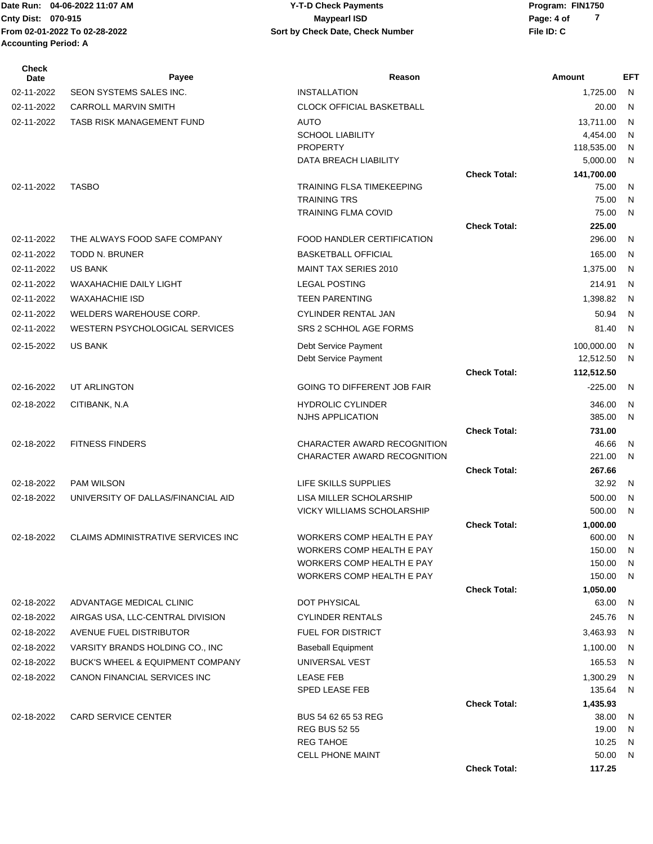Date Run: 04-06-2022 11:07 AM **CONTACT CONSTREY THE STATE OF PROGRAM** Y-T-D Check Payments **CONTACT PROGRAM: FIN1750 From 02-01-2022 To 02-28-2022 File ID: C Sort by Check Date, Check Number Accounting Period: A**

## **Cnty Dist:** 070-915 **Page: 4 of MaypearI ISD MaypearI ISD 04-06-2022 11:07 AM Y-T-D Check Payments 070-915 Maypearl ISD**

| <b>Check</b><br>Date | Payee                                     | Reason                                                  |                     | Amount           | <b>EFT</b>   |
|----------------------|-------------------------------------------|---------------------------------------------------------|---------------------|------------------|--------------|
| 02-11-2022           | SEON SYSTEMS SALES INC.                   | <b>INSTALLATION</b>                                     |                     | 1,725.00         | N            |
| 02-11-2022           | <b>CARROLL MARVIN SMITH</b>               | <b>CLOCK OFFICIAL BASKETBALL</b>                        |                     | 20.00            | N            |
| 02-11-2022           | <b>TASB RISK MANAGEMENT FUND</b>          | <b>AUTO</b>                                             |                     | 13,711.00        | N            |
|                      |                                           | <b>SCHOOL LIABILITY</b>                                 |                     | 4,454.00         | N            |
|                      |                                           | <b>PROPERTY</b>                                         |                     | 118,535.00       | N            |
|                      |                                           | DATA BREACH LIABILITY                                   |                     | 5,000.00         | N            |
|                      |                                           |                                                         | <b>Check Total:</b> | 141,700.00       |              |
| 02-11-2022           | <b>TASBO</b>                              | <b>TRAINING FLSA TIMEKEEPING</b><br><b>TRAINING TRS</b> |                     | 75.00<br>75.00   | N<br>N       |
|                      |                                           | <b>TRAINING FLMA COVID</b>                              |                     | 75.00            | N            |
|                      |                                           |                                                         | <b>Check Total:</b> | 225.00           |              |
| 02-11-2022           | THE ALWAYS FOOD SAFE COMPANY              | FOOD HANDLER CERTIFICATION                              |                     | 296.00           | N            |
| 02-11-2022           | <b>TODD N. BRUNER</b>                     | <b>BASKETBALL OFFICIAL</b>                              |                     | 165.00           | N            |
| 02-11-2022           | US BANK                                   | MAINT TAX SERIES 2010                                   |                     | 1,375.00         | N            |
| 02-11-2022           | <b>WAXAHACHIE DAILY LIGHT</b>             | <b>LEGAL POSTING</b>                                    |                     | 214.91           | N            |
| 02-11-2022           | <b>WAXAHACHIE ISD</b>                     | <b>TEEN PARENTING</b>                                   |                     | 1,398.82         | N            |
| 02-11-2022           | WELDERS WAREHOUSE CORP.                   | CYLINDER RENTAL JAN                                     |                     | 50.94            | N            |
| 02-11-2022           | WESTERN PSYCHOLOGICAL SERVICES            | SRS 2 SCHHOL AGE FORMS                                  |                     | 81.40            | N            |
| 02-15-2022           | <b>US BANK</b>                            | Debt Service Payment                                    |                     | 100,000.00       | $\mathsf{N}$ |
|                      |                                           | Debt Service Payment                                    |                     | 12,512.50        | N            |
|                      |                                           |                                                         | <b>Check Total:</b> | 112,512.50       |              |
| 02-16-2022           | UT ARLINGTON                              | GOING TO DIFFERENT JOB FAIR                             |                     | $-225.00$        | N            |
| 02-18-2022           | CITIBANK, N.A.                            | <b>HYDROLIC CYLINDER</b>                                |                     | 346.00           | N            |
|                      |                                           | NJHS APPLICATION                                        |                     | 385.00           | $\mathsf{N}$ |
|                      |                                           |                                                         | <b>Check Total:</b> | 731.00           |              |
| 02-18-2022           | <b>FITNESS FINDERS</b>                    | CHARACTER AWARD RECOGNITION                             |                     | 46.66            | N            |
|                      |                                           | CHARACTER AWARD RECOGNITION                             |                     | 221.00           | $\mathsf{N}$ |
|                      |                                           |                                                         | <b>Check Total:</b> | 267.66           |              |
| 02-18-2022           | <b>PAM WILSON</b>                         | LIFE SKILLS SUPPLIES                                    |                     | 32.92            | N,           |
| 02-18-2022           | UNIVERSITY OF DALLAS/FINANCIAL AID        | LISA MILLER SCHOLARSHIP                                 |                     | 500.00           | N            |
|                      |                                           | VICKY WILLIAMS SCHOLARSHIP                              |                     | 500.00           | N            |
|                      |                                           |                                                         | <b>Check Total:</b> | 1,000.00         |              |
| 02-18-2022           | <b>CLAIMS ADMINISTRATIVE SERVICES INC</b> | WORKERS COMP HEALTH E PAY<br>WORKERS COMP HEALTH E PAY  |                     | 600.00<br>150.00 | N<br>N       |
|                      |                                           | WORKERS COMP HEALTH E PAY                               |                     | 150.00           | N            |
|                      |                                           | WORKERS COMP HEALTH E PAY                               |                     | 150.00           | -N           |
|                      |                                           |                                                         | <b>Check Total:</b> | 1,050.00         |              |
| 02-18-2022           | ADVANTAGE MEDICAL CLINIC                  | <b>DOT PHYSICAL</b>                                     |                     | 63.00            | N            |
| 02-18-2022           | AIRGAS USA, LLC-CENTRAL DIVISION          | <b>CYLINDER RENTALS</b>                                 |                     | 245.76           | N.           |
| 02-18-2022           | AVENUE FUEL DISTRIBUTOR                   | FUEL FOR DISTRICT                                       |                     | 3,463.93         | - N          |
| 02-18-2022           | VARSITY BRANDS HOLDING CO., INC.          | <b>Baseball Equipment</b>                               |                     | 1,100.00         | N            |
| 02-18-2022           | BUCK'S WHEEL & EQUIPMENT COMPANY          | UNIVERSAL VEST                                          |                     | 165.53           | N            |
| 02-18-2022           | CANON FINANCIAL SERVICES INC              | <b>LEASE FEB</b>                                        |                     | 1,300.29         | N,           |
|                      |                                           | SPED LEASE FEB                                          |                     | 135.64           | N            |
|                      |                                           |                                                         | <b>Check Total:</b> | 1,435.93         |              |
| 02-18-2022           | <b>CARD SERVICE CENTER</b>                | BUS 54 62 65 53 REG                                     |                     | 38.00            | N,           |
|                      |                                           | <b>REG BUS 52 55</b>                                    |                     | 19.00            | N            |
|                      |                                           | <b>REG TAHOE</b>                                        |                     | 10.25            | - N          |
|                      |                                           | <b>CELL PHONE MAINT</b>                                 | <b>Check Total:</b> | 50.00<br>117.25  | - N          |
|                      |                                           |                                                         |                     |                  |              |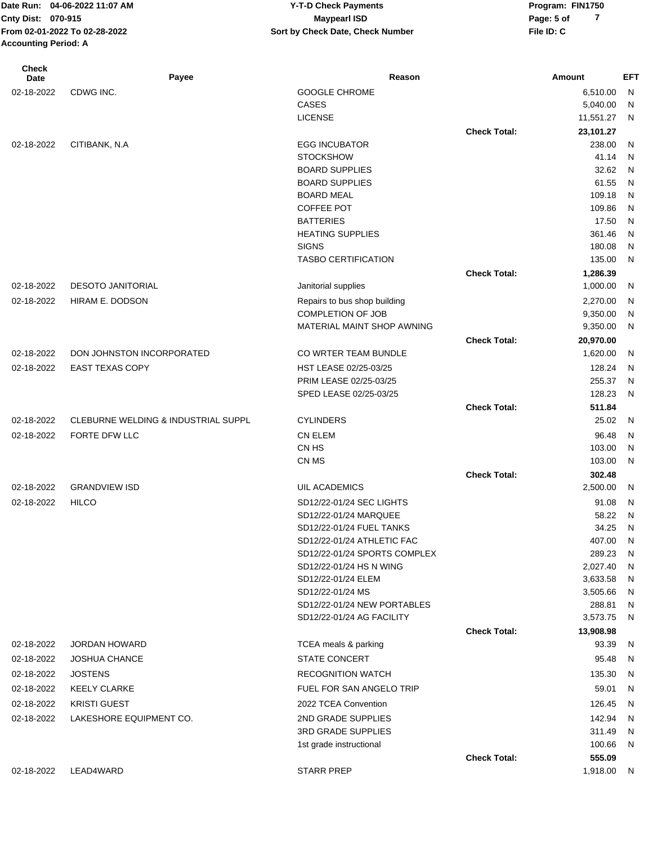Date Run: 04-06-2022 11:07 AM **CONTACT CONSTREY THE STATE OF PROGRAM** Y-T-D Check Payments **CONTACT PROGRAM: FIN1750 Cnty Dist:** 070-915 **Page:** 5 of **From 02-01-2022 To 02-28-2022 File ID: C Sort by Check Date, Check Number Accounting Period: A**

| <b>Check</b><br>Date | Payee                               | Reason                                      |                     | Amount          | <b>EFT</b>   |
|----------------------|-------------------------------------|---------------------------------------------|---------------------|-----------------|--------------|
| 02-18-2022           | CDWG INC.                           | <b>GOOGLE CHROME</b>                        |                     | 6,510.00        | $\mathsf{N}$ |
|                      |                                     | CASES                                       |                     | 5,040.00        | N            |
|                      |                                     | <b>LICENSE</b>                              |                     | 11,551.27       | N            |
|                      |                                     |                                             | <b>Check Total:</b> | 23,101.27       |              |
| 02-18-2022           | CITIBANK, N.A                       | <b>EGG INCUBATOR</b>                        |                     | 238.00          | N            |
|                      |                                     | <b>STOCKSHOW</b>                            |                     | 41.14           | N            |
|                      |                                     | <b>BOARD SUPPLIES</b>                       |                     | 32.62           | N            |
|                      |                                     | <b>BOARD SUPPLIES</b>                       |                     | 61.55           | N            |
|                      |                                     | <b>BOARD MEAL</b>                           |                     | 109.18          | N            |
|                      |                                     | <b>COFFEE POT</b>                           |                     | 109.86          | N            |
|                      |                                     | <b>BATTERIES</b><br><b>HEATING SUPPLIES</b> |                     | 17.50<br>361.46 | N<br>N       |
|                      |                                     | <b>SIGNS</b>                                |                     | 180.08          | N            |
|                      |                                     | <b>TASBO CERTIFICATION</b>                  |                     | 135.00          | N            |
|                      |                                     |                                             | <b>Check Total:</b> | 1,286.39        |              |
| 02-18-2022           | <b>DESOTO JANITORIAL</b>            | Janitorial supplies                         |                     | 1,000.00        | N            |
| 02-18-2022           | HIRAM E. DODSON                     | Repairs to bus shop building                |                     | 2,270.00        | N            |
|                      |                                     | <b>COMPLETION OF JOB</b>                    |                     | 9,350.00        | N            |
|                      |                                     | MATERIAL MAINT SHOP AWNING                  |                     | 9,350.00        | N            |
|                      |                                     |                                             | <b>Check Total:</b> | 20,970.00       |              |
| 02-18-2022           | DON JOHNSTON INCORPORATED           | CO WRTER TEAM BUNDLE                        |                     | 1,620.00        | N            |
| 02-18-2022           | <b>EAST TEXAS COPY</b>              | HST LEASE 02/25-03/25                       |                     | 128.24          | N            |
|                      |                                     | PRIM LEASE 02/25-03/25                      |                     | 255.37          | N            |
|                      |                                     | SPED LEASE 02/25-03/25                      |                     | 128.23          | N            |
|                      |                                     |                                             | <b>Check Total:</b> | 511.84          |              |
| 02-18-2022           | CLEBURNE WELDING & INDUSTRIAL SUPPL | <b>CYLINDERS</b>                            |                     | 25.02           | N            |
| 02-18-2022           | FORTE DFW LLC                       | <b>CN ELEM</b>                              |                     | 96.48           | N            |
|                      |                                     | CN HS                                       |                     | 103.00          | N            |
|                      |                                     | CN MS                                       |                     | 103.00          | N            |
|                      |                                     |                                             | <b>Check Total:</b> | 302.48          |              |
| 02-18-2022           | <b>GRANDVIEW ISD</b>                | UIL ACADEMICS                               |                     | 2,500.00        | N            |
| 02-18-2022           | <b>HILCO</b>                        | SD12/22-01/24 SEC LIGHTS                    |                     | 91.08           | N            |
|                      |                                     | SD12/22-01/24 MARQUEE                       |                     | 58.22           | N            |
|                      |                                     | SD12/22-01/24 FUEL TANKS                    |                     | 34.25           | N            |
|                      |                                     | SD12/22-01/24 ATHLETIC FAC                  |                     | 407.00          | N            |
|                      |                                     | SD12/22-01/24 SPORTS COMPLEX                |                     | 289.23          | N            |
|                      |                                     | SD12/22-01/24 HS N WING                     |                     | 2,027.40        | N            |
|                      |                                     | SD12/22-01/24 ELEM                          |                     | 3,633.58        | N            |
|                      |                                     | SD12/22-01/24 MS                            |                     | 3,505.66        | N            |
|                      |                                     | SD12/22-01/24 NEW PORTABLES                 |                     | 288.81          | N            |
|                      |                                     | SD12/22-01/24 AG FACILITY                   |                     | 3,573.75        | N            |
|                      |                                     |                                             | <b>Check Total:</b> | 13,908.98       |              |
| 02-18-2022           | <b>JORDAN HOWARD</b>                | TCEA meals & parking                        |                     | 93.39           | - N          |
| 02-18-2022           | <b>JOSHUA CHANCE</b>                | STATE CONCERT                               |                     | 95.48           | N            |
| 02-18-2022           | <b>JOSTENS</b>                      | <b>RECOGNITION WATCH</b>                    |                     | 135.30          | -N           |
| 02-18-2022           | <b>KEELY CLARKE</b>                 | FUEL FOR SAN ANGELO TRIP                    |                     | 59.01           | N            |
| 02-18-2022           | <b>KRISTI GUEST</b>                 | 2022 TCEA Convention                        |                     | 126.45          | N            |
| 02-18-2022           | LAKESHORE EQUIPMENT CO.             | 2ND GRADE SUPPLIES                          |                     | 142.94          | N            |
|                      |                                     | 3RD GRADE SUPPLIES                          |                     | 311.49          | N,           |
|                      |                                     | 1st grade instructional                     |                     | 100.66          | N            |
|                      |                                     |                                             | <b>Check Total:</b> | 555.09          |              |
| 02-18-2022           | LEAD4WARD                           | <b>STARR PREP</b>                           |                     | 1,918.00 N      |              |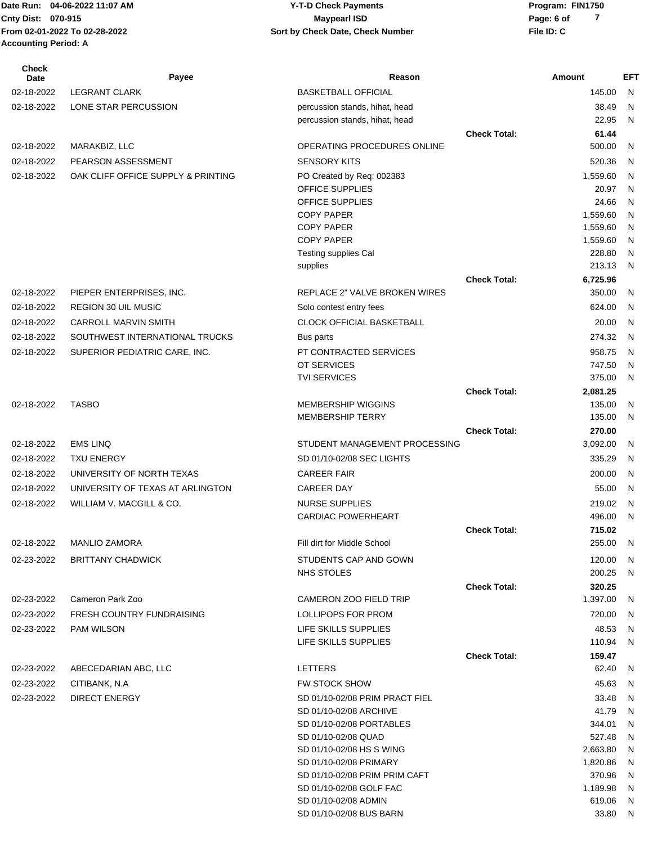Date Run: 04-06-2022 11:07 AM **CONTACT CONSTREY THE STATE OF PROGRAM** Y-T-D Check Payments **CONTACT PROGRAM: FIN1750 From 02-01-2022 To 02-28-2022 File ID: C Sort by Check Date, Check Number Accounting Period: A**

## **Cnty Dist:** 070-915 **Page: 6 of MaypearI ISD MaypearI ISD 04-06-2022 11:07 AM Y-T-D Check Payments 070-915 Maypearl ISD**

| <b>Check</b><br>Date | Payee                                                     | Reason                                                      |                     | Amount             | <b>EFT</b>                   |
|----------------------|-----------------------------------------------------------|-------------------------------------------------------------|---------------------|--------------------|------------------------------|
| 02-18-2022           | <b>LEGRANT CLARK</b>                                      | <b>BASKETBALL OFFICIAL</b>                                  |                     | 145.00             | N                            |
| 02-18-2022           | LONE STAR PERCUSSION                                      | percussion stands, hihat, head                              |                     | 38.49              | N                            |
|                      |                                                           | percussion stands, hihat, head                              |                     | 22.95              | N                            |
|                      |                                                           |                                                             | <b>Check Total:</b> | 61.44              |                              |
| 02-18-2022           | MARAKBIZ, LLC                                             | OPERATING PROCEDURES ONLINE                                 |                     | 500.00             | $\mathsf{N}$                 |
| 02-18-2022           | PEARSON ASSESSMENT                                        | <b>SENSORY KITS</b>                                         |                     | 520.36             | N                            |
| 02-18-2022           | OAK CLIFF OFFICE SUPPLY & PRINTING                        | PO Created by Req: 002383<br>OFFICE SUPPLIES                |                     | 1,559.60<br>20.97  | N                            |
|                      |                                                           | OFFICE SUPPLIES                                             |                     | 24.66              | N<br>N                       |
|                      |                                                           | <b>COPY PAPER</b>                                           |                     | 1,559.60           | N                            |
|                      |                                                           | <b>COPY PAPER</b>                                           |                     | 1,559.60           | N                            |
|                      |                                                           | <b>COPY PAPER</b>                                           |                     | 1,559.60           | N                            |
|                      |                                                           | Testing supplies Cal                                        |                     | 228.80             | N                            |
|                      |                                                           | supplies                                                    |                     | 213.13             | N                            |
|                      | PIEPER ENTERPRISES, INC.                                  | REPLACE 2" VALVE BROKEN WIRES                               | <b>Check Total:</b> | 6,725.96<br>350.00 | N                            |
| 02-18-2022           |                                                           |                                                             |                     |                    | N                            |
| 02-18-2022           | <b>REGION 30 UIL MUSIC</b><br><b>CARROLL MARVIN SMITH</b> | Solo contest entry fees<br><b>CLOCK OFFICIAL BASKETBALL</b> |                     | 624.00<br>20.00    |                              |
| 02-18-2022           |                                                           |                                                             |                     |                    | N                            |
| 02-18-2022           | SOUTHWEST INTERNATIONAL TRUCKS                            | Bus parts                                                   |                     | 274.32             | N                            |
| 02-18-2022           | SUPERIOR PEDIATRIC CARE, INC.                             | PT CONTRACTED SERVICES<br>OT SERVICES                       |                     | 958.75<br>747.50   | N<br>N                       |
|                      |                                                           | <b>TVI SERVICES</b>                                         |                     | 375.00             | N                            |
|                      |                                                           |                                                             | <b>Check Total:</b> | 2,081.25           |                              |
| 02-18-2022           | <b>TASBO</b>                                              | <b>MEMBERSHIP WIGGINS</b>                                   |                     | 135.00             | N                            |
|                      |                                                           | <b>MEMBERSHIP TERRY</b>                                     |                     | 135.00             | N                            |
|                      |                                                           |                                                             | <b>Check Total:</b> | 270.00             |                              |
| 02-18-2022           | <b>EMS LINQ</b>                                           | STUDENT MANAGEMENT PROCESSING                               |                     | 3,092.00           | N                            |
| 02-18-2022           | <b>TXU ENERGY</b>                                         | SD 01/10-02/08 SEC LIGHTS                                   |                     | 335.29             | N                            |
| 02-18-2022           | UNIVERSITY OF NORTH TEXAS                                 | <b>CAREER FAIR</b>                                          |                     | 200.00             | N                            |
| 02-18-2022           | UNIVERSITY OF TEXAS AT ARLINGTON                          | <b>CAREER DAY</b>                                           |                     | 55.00              | N                            |
| 02-18-2022           | WILLIAM V. MACGILL & CO.                                  | <b>NURSE SUPPLIES</b>                                       |                     | 219.02             | N                            |
|                      |                                                           | <b>CARDIAC POWERHEART</b>                                   | <b>Check Total:</b> | 496.00<br>715.02   | N                            |
| 02-18-2022           | <b>MANLIO ZAMORA</b>                                      | Fill dirt for Middle School                                 |                     | 255.00 N           |                              |
| 02-23-2022           | <b>BRITTANY CHADWICK</b>                                  | STUDENTS CAP AND GOWN                                       |                     | 120.00             | N,                           |
|                      |                                                           | NHS STOLES                                                  |                     | 200.25             | N                            |
|                      |                                                           |                                                             | <b>Check Total:</b> | 320.25             |                              |
| 02-23-2022           | Cameron Park Zoo                                          | <b>CAMERON ZOO FIELD TRIP</b>                               |                     | 1,397.00           | N                            |
| 02-23-2022           | <b>FRESH COUNTRY FUNDRAISING</b>                          | LOLLIPOPS FOR PROM                                          |                     | 720.00             | - N                          |
| 02-23-2022           | <b>PAM WILSON</b>                                         | LIFE SKILLS SUPPLIES                                        |                     | 48.53              | N                            |
|                      |                                                           | LIFE SKILLS SUPPLIES                                        |                     | 110.94             | N                            |
|                      |                                                           |                                                             | <b>Check Total:</b> | 159.47             |                              |
| 02-23-2022           | ABECEDARIAN ABC, LLC                                      | LETTERS                                                     |                     | 62.40              | N                            |
| 02-23-2022           | CITIBANK, N.A.                                            | <b>FW STOCK SHOW</b>                                        |                     | 45.63              | N                            |
| 02-23-2022           | <b>DIRECT ENERGY</b>                                      | SD 01/10-02/08 PRIM PRACT FIEL                              |                     | 33.48              | N                            |
|                      |                                                           | SD 01/10-02/08 ARCHIVE<br>SD 01/10-02/08 PORTABLES          |                     | 41.79<br>344.01    | $\mathsf{N}$<br>$\mathsf{N}$ |
|                      |                                                           | SD 01/10-02/08 QUAD                                         |                     | 527.48             | N                            |
|                      |                                                           | SD 01/10-02/08 HS S WING                                    |                     | 2,663.80           | N                            |
|                      |                                                           | SD 01/10-02/08 PRIMARY                                      |                     | 1,820.86           | N                            |
|                      |                                                           | SD 01/10-02/08 PRIM PRIM CAFT                               |                     | 370.96             | N                            |
|                      |                                                           | SD 01/10-02/08 GOLF FAC                                     |                     | 1,189.98           | N                            |
|                      |                                                           | SD 01/10-02/08 ADMIN                                        |                     | 619.06             | N,                           |
|                      |                                                           | SD 01/10-02/08 BUS BARN                                     |                     | 33.80 N            |                              |